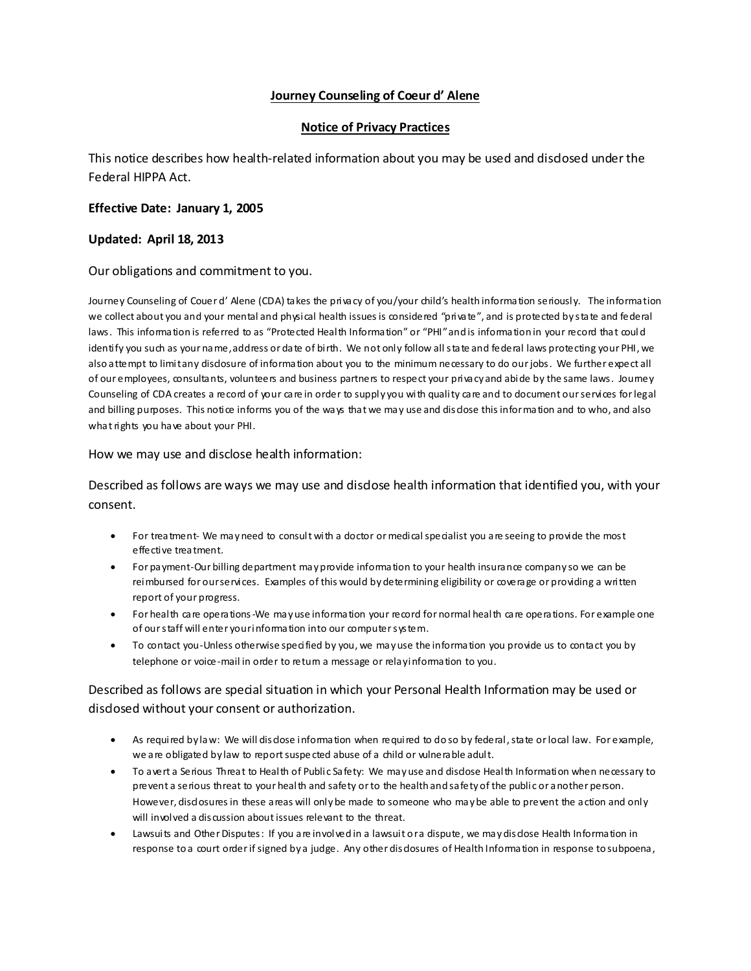## **Journey Counseling of Coeur d' Alene**

## **Notice of Privacy Practices**

This notice describes how health-related information about you may be used and disclosed under the Federal HIPPA Act.

## **Effective Date: January 1, 2005**

## **Updated: April 18, 2013**

Our obligations and commitment to you.

Journey Counseling of Couer d' Alene (CDA) takes the privacy of you/your child's health information seriously. The information we collect about you and your mental and physical health issues is considered "private", and is protected by state and federal laws. This information is referred to as "Protected Health Information" or "PHI" and is information in your record that coul d identify you such as your name, address or date of birth. We not only follow all state and federal laws protecting your PHI, we also attempt to limit any disdosure of information about you to the minimum necessary to do our jobs. We further expect all of our employees, consultants, volunteers and business partners to respect your privacy and abide by the same laws. Journey Counseling of CDA creates a record of your care in order to supply you with quality care and to document our services for legal and billing purposes. This notice informs you of the ways that we may use and disdose this information and to who, and also what rights you have about your PHI.

#### How we may use and disclose health information:

Described as follows are ways we may use and disclose health information that identified you, with your consent.

- For treatment- We may need to consult with a doctor or medical specialist you are seeing to provide the most effective treatment.
- For payment-Our billing department may provide information to your health insurance company so we can be reimbursed for our services. Examples of this would by determining eligibility or coverage or providing a written report of your progress.
- For health care operations-We may use information your record for normal health care operations. For example one of our staff will enter your information into our computer system.
- To contact you-Unless otherwise specified by you, we may use the information you provide us to contact you by telephone or voice-mail in order to return a message or relay information to you.

# Described as follows are special situation in which your Personal Health Information may be used or disdosed without your consent or authorization.

- As required by law: We will disclose information when required to do so by federal, state or local law. For example, we are obligated by law to report suspe cted abuse of a child or vulnerable adult.
- To avert a Serious Threat to Health of Public Safety: We may use and disclose Health Information when necessary to prevent a serious threat to your health and safety or to the health and safety of the public or another person. However, disdosures in these areas will only be made to someone who may be able to prevent the action and only will involved a discussion about issues relevant to the threat.
- Lawsuits and Other Disputes: If you are involved in a lawsuit or a dispute, we may disdose Health Information in response to a court order if signed by a judge. Any other disclosures of Health Information in response to subpoena,